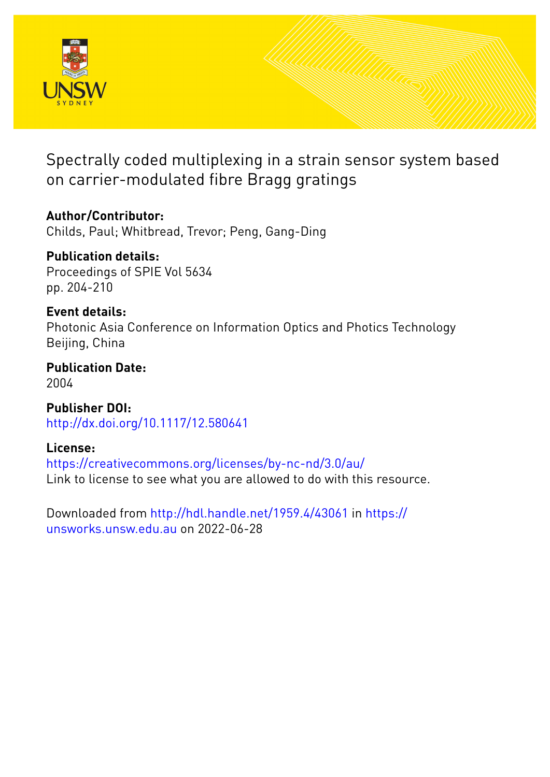

Spectrally coded multiplexing in a strain sensor system based on carrier-modulated fibre Bragg gratings

**Author/Contributor:** Childs, Paul; Whitbread, Trevor; Peng, Gang-Ding

**Publication details:** Proceedings of SPIE Vol 5634 pp. 204-210

**Event details:** Photonic Asia Conference on Information Optics and Photics Technology Beijing, China

**Publication Date:** 2004

**Publisher DOI:** [http://dx.doi.org/10.1117/12.580641](http://dx.doi.org/http://dx.doi.org/10.1117/12.580641)

**License:** <https://creativecommons.org/licenses/by-nc-nd/3.0/au/> Link to license to see what you are allowed to do with this resource.

Downloaded from <http://hdl.handle.net/1959.4/43061> in [https://](https://unsworks.unsw.edu.au) [unsworks.unsw.edu.au](https://unsworks.unsw.edu.au) on 2022-06-28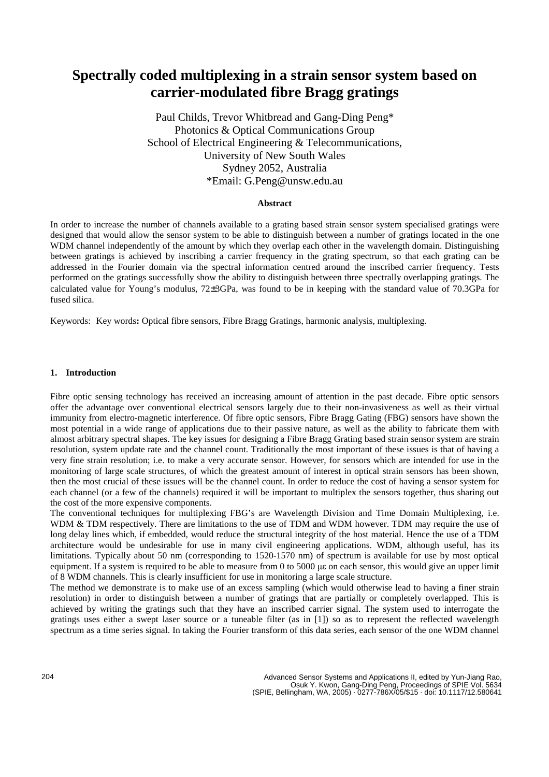# **Spectrally coded multiplexing in a strain sensor system based on carrier-modulated fibre Bragg gratings**

Paul Childs, Trevor Whitbread and Gang-Ding Peng\* Photonics & Optical Communications Group School of Electrical Engineering & Telecommunications, University of New South Wales Sydney 2052, Australia \*Email: G.Peng@unsw.edu.au

### **Abstract**

In order to increase the number of channels available to a grating based strain sensor system specialised gratings were designed that would allow the sensor system to be able to distinguish between a number of gratings located in the one WDM channel independently of the amount by which they overlap each other in the wavelength domain. Distinguishing between gratings is achieved by inscribing a carrier frequency in the grating spectrum, so that each grating can be addressed in the Fourier domain via the spectral information centred around the inscribed carrier frequency. Tests performed on the gratings successfully show the ability to distinguish between three spectrally overlapping gratings. The calculated value for Young's modulus, 72 ±3GPa, was found to be in keeping with the standard value of 70.3GPa for fused silica.

Keywords: Key words**:** Optical fibre sensors, Fibre Bragg Gratings, harmonic analysis, multiplexing.

#### **1. Introduction**

Fibre optic sensing technology has received an increasing amount of attention in the past decade. Fibre optic sensors offer the advantage over conventional electrical sensors largely due to their non-invasiveness as well as their virtual immunity from electro-magnetic interference. Of fibre optic sensors, Fibre Bragg Gating (FBG) sensors have shown the most potential in a wide range of applications due to their passive nature, as well as the ability to fabricate them with almost arbitrary spectral shapes. The key issues for designing a Fibre Bragg Grating based strain sensor system are strain resolution, system update rate and the channel count. Traditionally the most important of these issues is that of having a very fine strain resolution; i.e. to make a very accurate sensor. However, for sensors which are intended for use in the monitoring of large scale structures, of which the greatest amount of interest in optical strain sensors has been shown, then the most crucial of these issues will be the channel count. In order to reduce the cost of having a sensor system for each channel (or a few of the channels) required it will be important to multiplex the sensors together, thus sharing out the cost of the more expensive components.

The conventional techniques for multiplexing FBG's are Wavelength Division and Time Domain Multiplexing, i.e. WDM & TDM respectively. There are limitations to the use of TDM and WDM however. TDM may require the use of long delay lines which, if embedded, would reduce the structural integrity of the host material. Hence the use of a TDM architecture would be undesirable for use in many civil engineering applications. WDM, although useful, has its limitations. Typically about 50 nm (corresponding to 1520-1570 nm) of spectrum is available for use by most optical equipment. If a system is required to be able to measure from 0 to 5000 µ ε on each sensor, this would give an upper limit of 8 WDM channels. This is clearly insufficient for use in monitoring a large scale structure.

The method we demonstrate is to make use of an excess sampling (which would otherwise lead to having a finer strain resolution) in order to distinguish between a number of gratings that are partially or completely overlapped. This is achieved by writing the gratings such that they have an inscribed carrier signal. The system used to interrogate the gratings uses either a swept laser source or a tuneable filter (as in [1]) so as to represent the reflected wavelength spectrum as a time series signal. In taking the Fourier transform of this data series, each sensor of the one WDM channel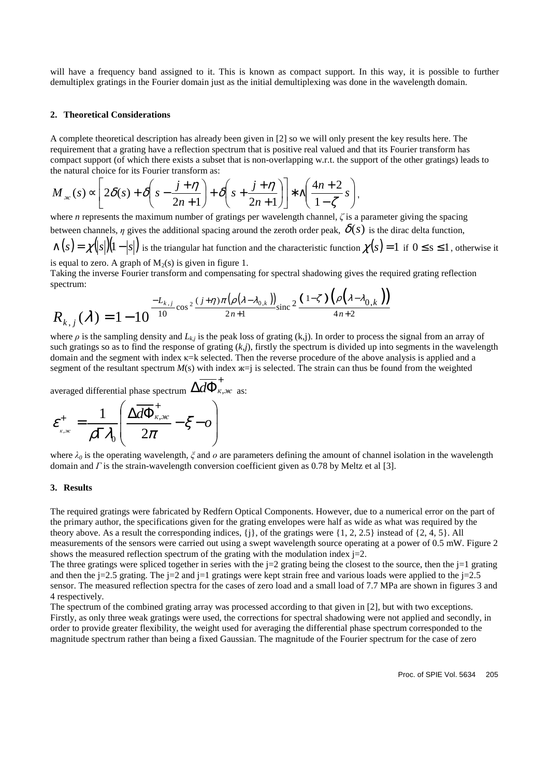will have a frequency band assigned to it. This is known as compact support. In this way, it is possible to further demultiplex gratings in the Fourier domain just as the initial demultiplexing was done in the wavelength domain.

#### **2. Theoretical Considerations**

A complete theoretical description has already been given in [2] so we will only present the key results here. The requirement that a grating have a reflection spectrum that is positive real valued and that its Fourier transform has compact support (of which there exists a subset that is non-overlapping w.r.t. the support of the other gratings) leads to the natural choice for its Fourier transform as:

$$
M_{\infty}(s) \propto \left[2\delta(s) + \delta\left(s - \frac{j + \eta}{2n + 1}\right) + \delta\left(s + \frac{j + \eta}{2n + 1}\right)\right] * \wedge\left(\frac{4n + 2}{1 - \zeta}s\right),
$$

where *n* represents the maximum number of gratings per wavelength channel, *ζ* is a parameter giving the spacing between channels, *η* gives the additional spacing around the zeroth order peak,  $\delta(s)$  is the dirac delta function,

 $\alpha(s) = \chi(|s|)(1-|s|)$  is the triangular hat function and the characteristic function  $\chi(s) = 1$  if  $0 \le s \le 1$ , otherwise it is equal to zero. A graph of  $M_2(s)$  is given in figure 1.

Taking the inverse Fourier transform and compensating for spectral shadowing gives the required grating reflection spectrum:

$$
R_{k,j}(\lambda) = 1 - 10^{-\frac{L_{k,j}}{10}\cos^2\frac{(j+\eta)\pi(\rho(\lambda-\lambda_{0,k}))}{2n+1}\sin^2\frac{(1-\zeta)\left(\rho(\lambda-\lambda_{0,k})\right)}{4n+2}}
$$

where  $\rho$  is the sampling density and  $L_{kj}$  is the peak loss of grating (k,j). In order to process the signal from an array of such gratings so as to find the response of grating  $(k,j)$ , firstly the spectrum is divided up into segments in the wavelength domain and the segment with index κ=k selected. Then the reverse procedure of the above analysis is applied and a segment of the resultant spectrum  $M(s)$  with index  $x = j$  is selected. The strain can thus be found from the weighted

averaged differential phase spectrum  $\Delta d\Phi^{\dagger}_{\kappa,\kappa}$  as:

$$
\varepsilon_{\kappa,\kappa}^{+} = \frac{1}{\rho \Gamma \lambda_0} \left( \frac{\Delta d \Phi_{\kappa,\kappa}^{+}}{2\pi} - \xi - o \right)
$$

where  $\lambda_0$  is the operating wavelength,  $\zeta$  and  $\omega$  are parameters defining the amount of channel isolation in the wavelength domain and *Γ* is the strain-wavelength conversion coefficient given as 0.78 by Meltz et al [3].

#### **3. Results**

The required gratings were fabricated by Redfern Optical Components. However, due to a numerical error on the part of the primary author, the specifications given for the grating envelopes were half as wide as what was required by the theory above. As a result the corresponding indices,  $\{j\}$ , of the gratings were  $\{1, 2, 2.5\}$  instead of  $\{2, 4, 5\}$ . All measurements of the sensors were carried out using a swept wavelength source operating at a power of 0.5 mW. Figure 2 shows the measured reflection spectrum of the grating with the modulation index  $j=2$ .

The three gratings were spliced together in series with the  $i=2$  grating being the closest to the source, then the  $i=1$  grating and then the j=2.5 grating. The j=2 and j=1 gratings were kept strain free and various loads were applied to the j=2.5 sensor. The measured reflection spectra for the cases of zero load and a small load of 7.7 MPa are shown in figures 3 and 4 respectively.

The spectrum of the combined grating array was processed according to that given in [2], but with two exceptions. Firstly, as only three weak gratings were used, the corrections for spectral shadowing were not applied and secondly, in order to provide greater flexibility, the weight used for averaging the differential phase spectrum corresponded to the magnitude spectrum rather than being a fixed Gaussian. The magnitude of the Fourier spectrum for the case of zero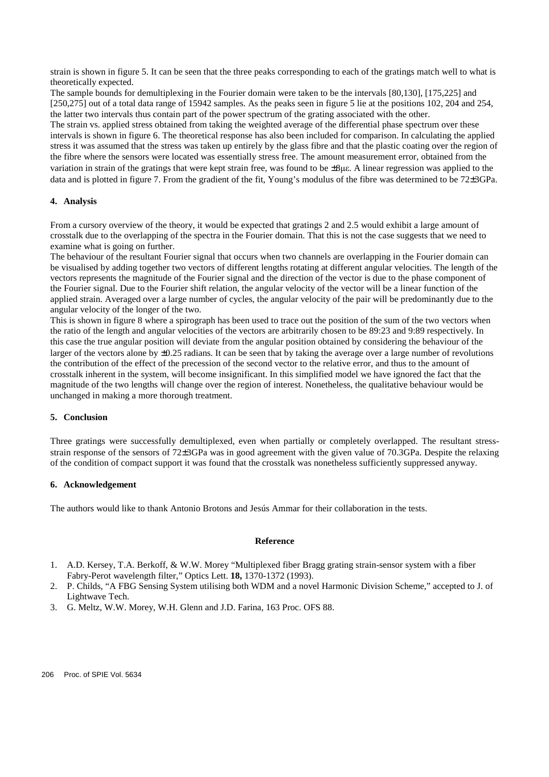strain is shown in figure 5. It can be seen that the three peaks corresponding to each of the gratings match well to what is theoretically expected.

The sample bounds for demultiplexing in the Fourier domain were taken to be the intervals [80,130], [175,225] and [250,275] out of a total data range of 15942 samples. As the peaks seen in figure 5 lie at the positions 102, 204 and 254, the latter two intervals thus contain part of the power spectrum of the grating associated with the other. The strain vs. applied stress obtained from taking the weighted average of the differential phase spectrum over these intervals is shown in figure 6. The theoretical response has also been included for comparison. In calculating the applied stress it was assumed that the stress was taken up entirely by the glass fibre and that the plastic coating over the region of the fibre where the sensors were located was essentially stress free. The amount measurement error, obtained from the variation in strain of the gratings that were kept strain free, was found to be ±8µε. A linear regression was applied to the data and is plotted in figure 7. From the gradient of the fit, Young's modulus of the fibre was determined to be 72±3GPa.

## **4. Analysis**

From a cursory overview of the theory, it would be expected that gratings 2 and 2.5 would exhibit a large amount of crosstalk due to the overlapping of the spectra in the Fourier domain. That this is not the case suggests that we need to examine what is going on further.

The behaviour of the resultant Fourier signal that occurs when two channels are overlapping in the Fourier domain can be visualised by adding together two vectors of different lengths rotating at different angular velocities. The length of the vectors represents the magnitude of the Fourier signal and the direction of the vector is due to the phase component of the Fourier signal. Due to the Fourier shift relation, the angular velocity of the vector will be a linear function of the applied strain. Averaged over a large number of cycles, the angular velocity of the pair will be predominantly due to the angular velocity of the longer of the two.

This is shown in figure 8 where a spirograph has been used to trace out the position of the sum of the two vectors when the ratio of the length and angular velocities of the vectors are arbitrarily chosen to be 89:23 and 9:89 respectively. In this case the true angular position will deviate from the angular position obtained by considering the behaviour of the larger of the vectors alone by ±0.25 radians. It can be seen that by taking the average over a large number of revolutions the contribution of the effect of the precession of the second vector to the relative error, and thus to the amount of crosstalk inherent in the system, will become insignificant. In this simplified model we have ignored the fact that the magnitude of the two lengths will change over the region of interest. Nonetheless, the qualitative behaviour would be unchanged in making a more thorough treatment.

## **5. Conclusion**

Three gratings were successfully demultiplexed, even when partially or completely overlapped. The resultant stressstrain response of the sensors of 72±3GPa was in good agreement with the given value of 70.3GPa. Despite the relaxing of the condition of compact support it was found that the crosstalk was nonetheless sufficiently suppressed anyway.

#### **6. Acknowledgement**

The authors would like to thank Antonio Brotons and Jesús Ammar for their collaboration in the tests.

#### **Reference**

- 1. A.D. Kersey, T.A. Berkoff, & W.W. Morey "Multiplexed fiber Bragg grating strain-sensor system with a fiber Fabry-Perot wavelength filter," Optics Lett. **18,** 1370-1372 (1993).
- 2. P. Childs, "A FBG Sensing System utilising both WDM and a novel Harmonic Division Scheme," accepted to J. of Lightwave Tech.
- 3. G. Meltz, W.W. Morey, W.H. Glenn and J.D. Farina, 163 Proc. OFS 88.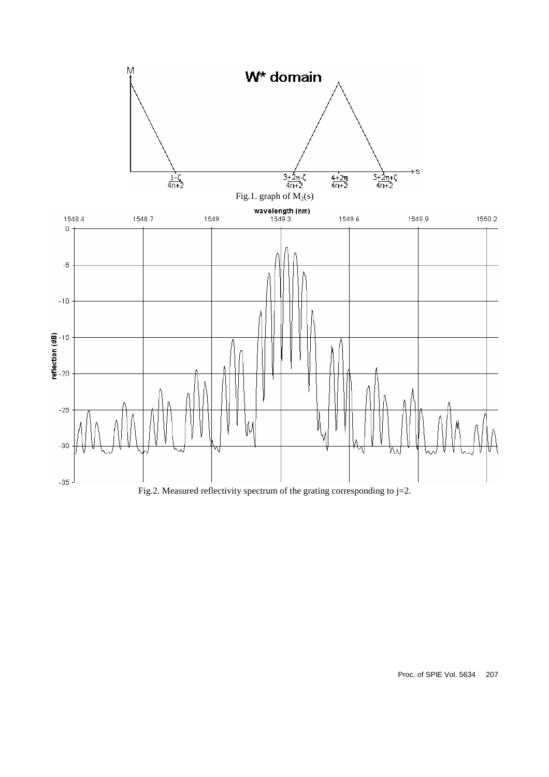

Fig.2. Measured reflectivity spectrum of the grating corresponding to  $j=2$ .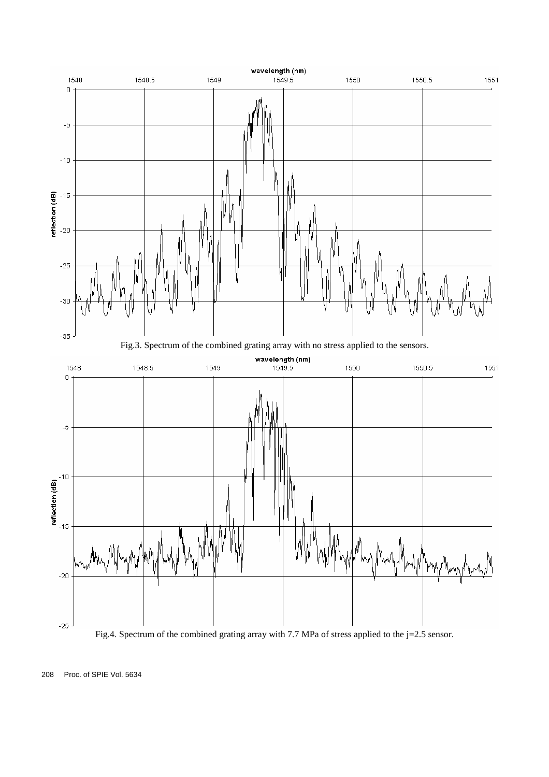

Fig.4. Spectrum of the combined grating array with 7.7 MPa of stress applied to the j=2.5 sensor.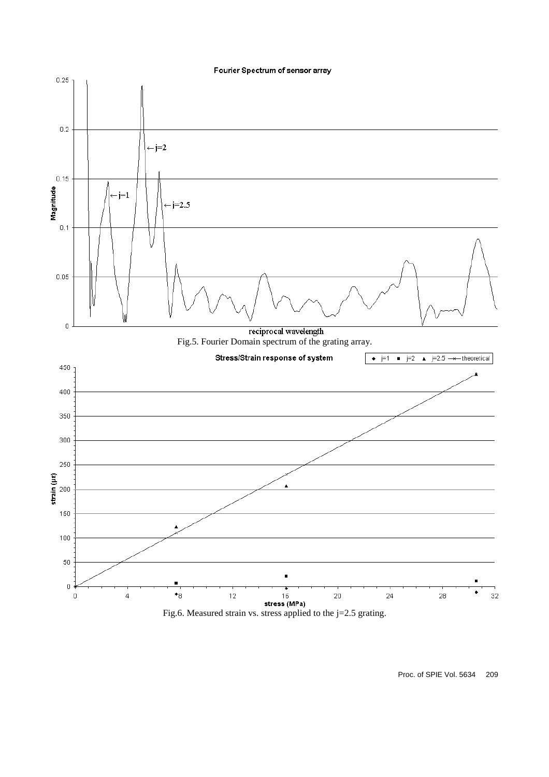



Proc. of SPIE Vol. 5634 209